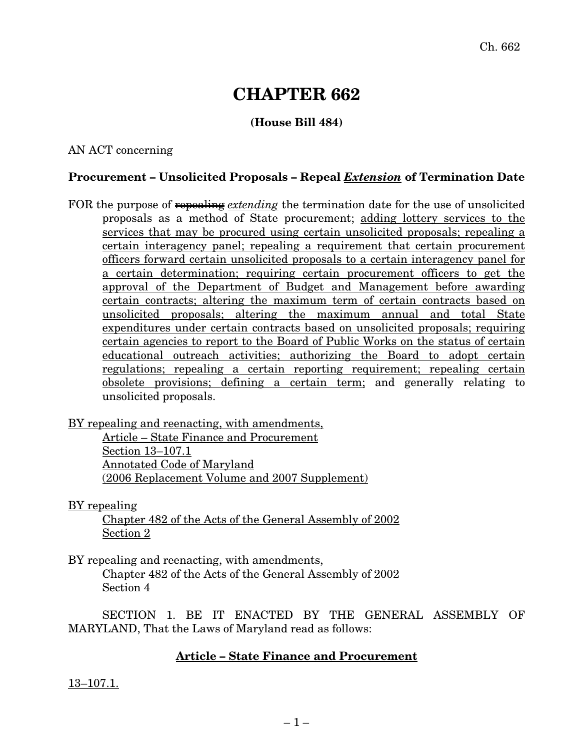# **CHAPTER 662**

# **(House Bill 484)**

AN ACT concerning

#### **Procurement – Unsolicited Proposals – Repeal** *Extension* **of Termination Date**

FOR the purpose of repealing *extending* the termination date for the use of unsolicited proposals as a method of State procurement; adding lottery services to the services that may be procured using certain unsolicited proposals; repealing a certain interagency panel; repealing a requirement that certain procurement officers forward certain unsolicited proposals to a certain interagency panel for a certain determination; requiring certain procurement officers to get the approval of the Department of Budget and Management before awarding certain contracts; altering the maximum term of certain contracts based on unsolicited proposals; altering the maximum annual and total State expenditures under certain contracts based on unsolicited proposals; requiring certain agencies to report to the Board of Public Works on the status of certain educational outreach activities; authorizing the Board to adopt certain regulations; repealing a certain reporting requirement; repealing certain obsolete provisions; defining a certain term; and generally relating to unsolicited proposals.

BY repealing and reenacting, with amendments, Article – State Finance and Procurement

Section 13–107.1 Annotated Code of Maryland (2006 Replacement Volume and 2007 Supplement)

BY repealing

Chapter 482 of the Acts of the General Assembly of 2002 Section 2

BY repealing and reenacting, with amendments,

Chapter 482 of the Acts of the General Assembly of 2002 Section 4

SECTION 1. BE IT ENACTED BY THE GENERAL ASSEMBLY OF MARYLAND, That the Laws of Maryland read as follows:

### **Article – State Finance and Procurement**

13–107.1.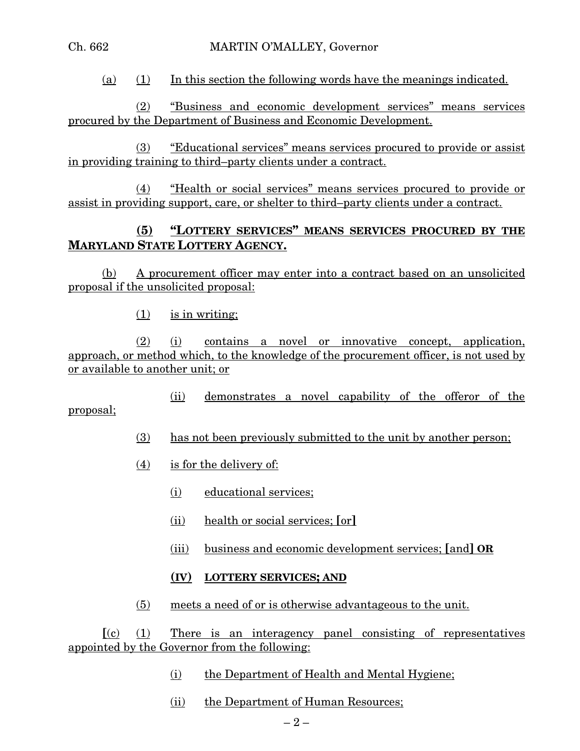(a) (1) In this section the following words have the meanings indicated.

(2) "Business and economic development services" means services procured by the Department of Business and Economic Development.

(3) "Educational services" means services procured to provide or assist in providing training to third–party clients under a contract.

(4) "Health or social services" means services procured to provide or assist in providing support, care, or shelter to third–party clients under a contract.

# **(5) "LOTTERY SERVICES" MEANS SERVICES PROCURED BY THE MARYLAND STATE LOTTERY AGENCY.**

(b) A procurement officer may enter into a contract based on an unsolicited proposal if the unsolicited proposal:

(1) is in writing;

(2) (i) contains a novel or innovative concept, application, approach, or method which, to the knowledge of the procurement officer, is not used by or available to another unit; or

(ii) demonstrates a novel capability of the offeror of the

proposal;

- (3) has not been previously submitted to the unit by another person;
- (4) is for the delivery of:
	- (i) educational services;
	- (ii) health or social services; **[**or**]**
	- (iii) business and economic development services; **[**and**] OR**

#### **(IV) LOTTERY SERVICES; AND**

(5) meets a need of or is otherwise advantageous to the unit.

**[**(c) (1) There is an interagency panel consisting of representatives appointed by the Governor from the following:

- (i) the Department of Health and Mental Hygiene;
- (ii) the Department of Human Resources;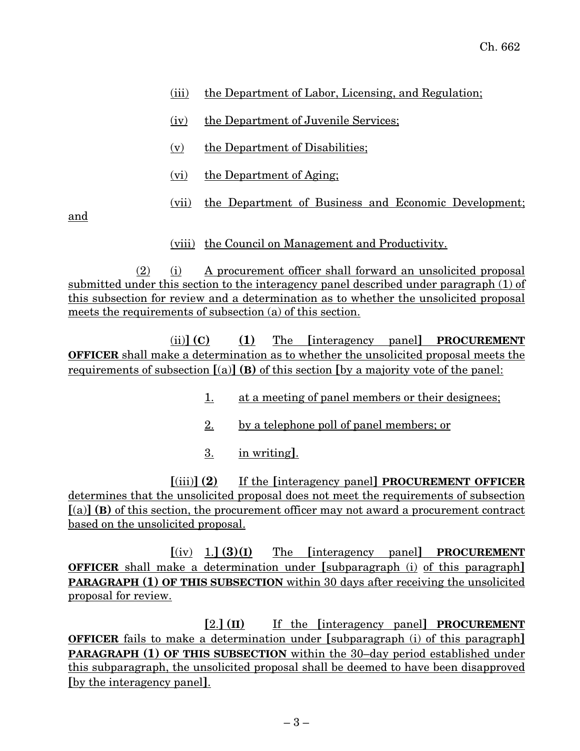- (iii) the Department of Labor, Licensing, and Regulation;
- (iv) the Department of Juvenile Services;
- (v) the Department of Disabilities;
- (vi) the Department of Aging;
- (vii) the Department of Business and Economic Development;

and

(viii) the Council on Management and Productivity.

(2) (i) A procurement officer shall forward an unsolicited proposal submitted under this section to the interagency panel described under paragraph (1) of this subsection for review and a determination as to whether the unsolicited proposal meets the requirements of subsection (a) of this section.

(ii)**] (C) (1)** The **[**interagency panel**] PROCUREMENT OFFICER** shall make a determination as to whether the unsolicited proposal meets the requirements of subsection **[**(a)**] (B)** of this section **[**by a majority vote of the panel:

- 1. at a meeting of panel members or their designees;
- 2. by a telephone poll of panel members; or
- 3. in writing**]**.

**[**(iii)**] (2)** If the **[**interagency panel**] PROCUREMENT OFFICER** determines that the unsolicited proposal does not meet the requirements of subsection **[**(a)**] (B)** of this section, the procurement officer may not award a procurement contract based on the unsolicited proposal.

**[**(iv) 1.**] (3)(I)** The **[**interagency panel**] PROCUREMENT OFFICER** shall make a determination under **[**subparagraph (i) of this paragraph**] PARAGRAPH (1) OF THIS SUBSECTION** within 30 days after receiving the unsolicited proposal for review.

**[**2.**] (II)** If the **[**interagency panel**] PROCUREMENT OFFICER** fails to make a determination under **[**subparagraph (i) of this paragraph**] PARAGRAPH (1) OF THIS SUBSECTION** within the 30–day period established under this subparagraph, the unsolicited proposal shall be deemed to have been disapproved **[**by the interagency panel**]**.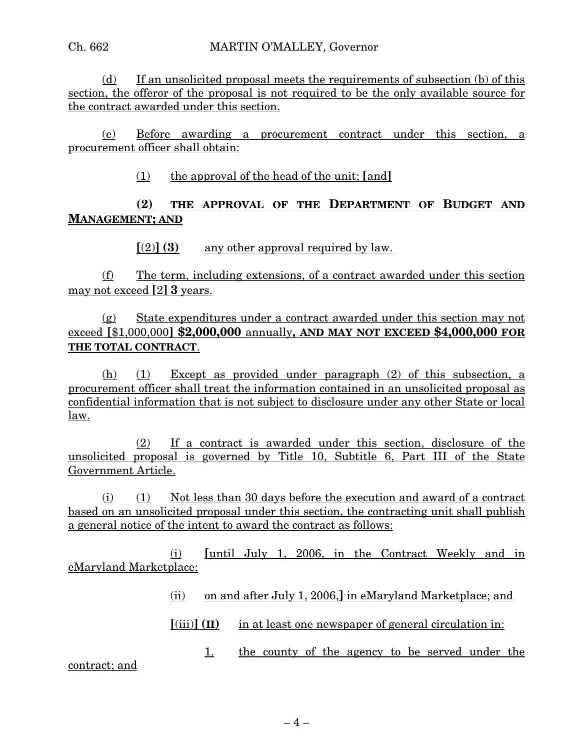(d) If an unsolicited proposal meets the requirements of subsection (b) of this section, the offeror of the proposal is not required to be the only available source for the contract awarded under this section.

(e) Before awarding a procurement contract under this section, a procurement officer shall obtain:

(1) the approval of the head of the unit; **[**and**]**

# **(2) THE APPROVAL OF THE DEPARTMENT OF BUDGET AND MANAGEMENT; AND**

**[**(2)**] (3)** any other approval required by law.

(f) The term, including extensions, of a contract awarded under this section may not exceed **[**2**] 3** years.

(g) State expenditures under a contract awarded under this section may not exceed **[**\$1,000,000**] \$2,000,000** annually**, AND MAY NOT EXCEED \$4,000,000 FOR THE TOTAL CONTRACT**.

(h) (1) Except as provided under paragraph (2) of this subsection, a procurement officer shall treat the information contained in an unsolicited proposal as confidential information that is not subject to disclosure under any other State or local law.

(2) If a contract is awarded under this section, disclosure of the unsolicited proposal is governed by Title 10, Subtitle 6, Part III of the State Government Article.

(i) (1) Not less than 30 days before the execution and award of a contract based on an unsolicited proposal under this section, the contracting unit shall publish a general notice of the intent to award the contract as follows:

(i) **[**until July 1, 2006, in the Contract Weekly and in eMaryland Marketplace;

(ii) on and after July 1, 2006,**]** in eMaryland Marketplace; and

**[**(iii)**] (II)** in at least one newspaper of general circulation in:

1. the county of the agency to be served under the

contract; and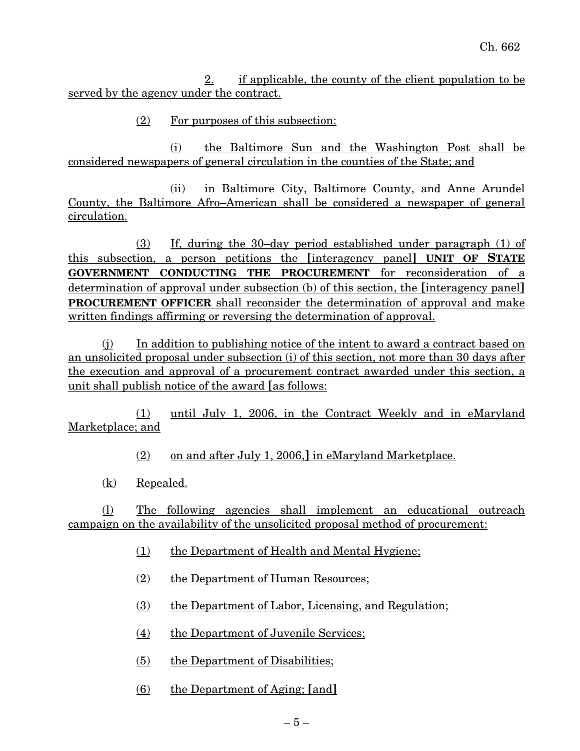2. if applicable, the county of the client population to be served by the agency under the contract.

(2) For purposes of this subsection:

(i) the Baltimore Sun and the Washington Post shall be considered newspapers of general circulation in the counties of the State; and

(ii) in Baltimore City, Baltimore County, and Anne Arundel County, the Baltimore Afro–American shall be considered a newspaper of general circulation.

(3) If, during the 30–day period established under paragraph (1) of this subsection, a person petitions the **[**interagency panel**] UNIT OF STATE GOVERNMENT CONDUCTING THE PROCUREMENT** for reconsideration of a determination of approval under subsection (b) of this section, the **[**interagency panel**] PROCUREMENT OFFICER** shall reconsider the determination of approval and make written findings affirming or reversing the determination of approval.

(j) In addition to publishing notice of the intent to award a contract based on an unsolicited proposal under subsection (i) of this section, not more than 30 days after the execution and approval of a procurement contract awarded under this section, a unit shall publish notice of the award **[**as follows:

(1) until July 1, 2006, in the Contract Weekly and in eMaryland Marketplace; and

(2) on and after July 1, 2006,**]** in eMaryland Marketplace.

(k) Repealed.

(l) The following agencies shall implement an educational outreach campaign on the availability of the unsolicited proposal method of procurement:

- (1) the Department of Health and Mental Hygiene;
- (2) the Department of Human Resources;
- (3) the Department of Labor, Licensing, and Regulation;
- (4) the Department of Juvenile Services;
- (5) the Department of Disabilities;
- (6) the Department of Aging; **[**and**]**